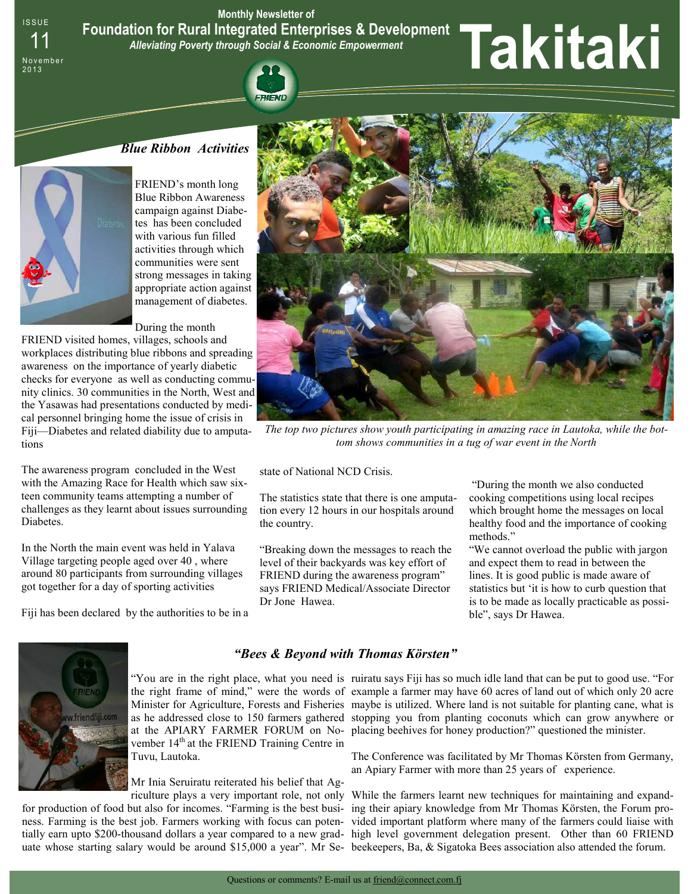**Monthly Newsletter of Foundation for Rural Integrated Enterprises & Development**  *Alleviating Poverty through Social & Economic Empowerment* 

# <sup>11</sup>**Takitaki**



**ISSUE** 

N o v e m b e r 2 0 1 3

> FRIEND's month long Blue Ribbon Awareness campaign against Diabetes has been concluded with various fun filled activities through which communities were sent strong messages in taking appropriate action against management of diabetes.

During the month

FRIEND visited homes, villages, schools and workplaces distributing blue ribbons and spreading awareness on the importance of yearly diabetic checks for everyone as well as conducting community clinics. 30 communities in the North, West and the Yasawas had presentations conducted by medical personnel bringing home the issue of crisis in Fiji—Diabetes and related diability due to amputations

The awareness program concluded in the West with the Amazing Race for Health which saw sixteen community teams attempting a number of challenges as they learnt about issues surrounding Diabetes.

In the North the main event was held in Yalava Village targeting people aged over 40 , where around 80 participants from surrounding villages got together for a day of sporting activities

Fiji has been declared by the authorities to be in a



*The top two pictures show youth participating in amazing race in Lautoka, while the bottom shows communities in a tug of war event in the North* 

state of National NCD Crisis.

The statistics state that there is one amputation every 12 hours in our hospitals around the country.

"Breaking down the messages to reach the level of their backyards was key effort of FRIEND during the awareness program" says FRIEND Medical/Associate Director Dr Jone Hawea.

 "During the month we also conducted cooking competitions using local recipes which brought home the messages on local healthy food and the importance of cooking methods."

"We cannot overload the public with jargon and expect them to read in between the lines. It is good public is made aware of statistics but 'it is how to curb question that is to be made as locally practicable as possible", says Dr Hawea.



#### *"Bees & Beyond with Thomas Körsten"*

vember 14<sup>th</sup> at the FRIEND Training Centre in Tuvu, Lautoka.

Mr Inia Seruiratu reiterated his belief that Ag-

for production of food but also for incomes. "Farming is the best busi- ing their apiary knowledge from Mr Thomas Körsten, the Forum proness. Farming is the best job. Farmers working with focus can poten-vided important platform where many of the farmers could liaise with tially earn upto \$200-thousand dollars a year compared to a new grad-high level government delegation present. Other than 60 FRIEND uate whose starting salary would be around \$15,000 a year". Mr Se- beekeepers, Ba, & Sigatoka Bees association also attended the forum.

"You are in the right place, what you need is ruiratu says Fiji has so much idle land that can be put to good use. "For the right frame of mind," were the words of example a farmer may have 60 acres of land out of which only 20 acre Minister for Agriculture, Forests and Fisheries maybe is utilized. Where land is not suitable for planting cane, what is as he addressed close to 150 farmers gathered stopping you from planting coconuts which can grow anywhere or at the APIARY FARMER FORUM on No-placing beehives for honey production?" questioned the minister.

> The Conference was facilitated by Mr Thomas Körsten from Germany, an Apiary Farmer with more than 25 years of experience.

riculture plays a very important role, not only While the farmers learnt new techniques for maintaining and expand-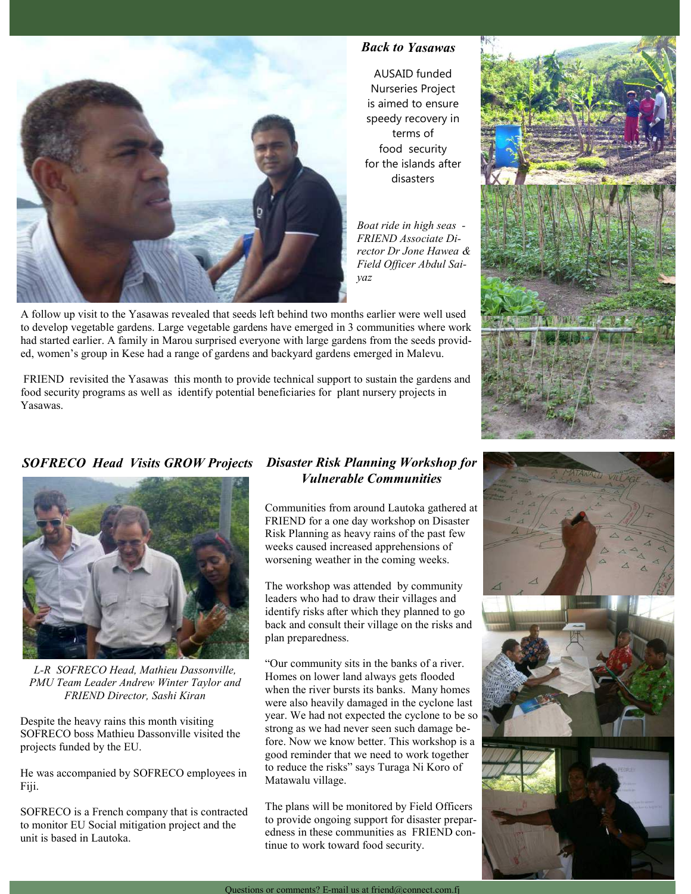

## *Back to Yasawas*

AUSAID funded Nurseries Project is aimed to ensure speedy recovery in terms of food security for the islands after disasters

*Boat ride in high seas - FRIEND Associate Director Dr Jone Hawea & Field Officer Abdul Saiyaz* 

A follow up visit to the Yasawas revealed that seeds left behind two months earlier were well used to develop vegetable gardens. Large vegetable gardens have emerged in 3 communities where work had started earlier. A family in Marou surprised everyone with large gardens from the seeds provided, women's group in Kese had a range of gardens and backyard gardens emerged in Malevu.

 FRIEND revisited the Yasawas this month to provide technical support to sustain the gardens and food security programs as well as identify potential beneficiaries for plant nursery projects in Yasawas.





*L-R SOFRECO Head, Mathieu Dassonville, PMU Team Leader Andrew Winter Taylor and FRIEND Director, Sashi Kiran* 

Despite the heavy rains this month visiting SOFRECO boss Mathieu Dassonville visited the projects funded by the EU.

He was accompanied by SOFRECO employees in Fiji.

SOFRECO is a French company that is contracted to monitor EU Social mitigation project and the unit is based in Lautoka.

### *Disaster Risk Planning Workshop for Vulnerable Communities*

Communities from around Lautoka gathered at FRIEND for a one day workshop on Disaster Risk Planning as heavy rains of the past few weeks caused increased apprehensions of worsening weather in the coming weeks.

The workshop was attended by community leaders who had to draw their villages and identify risks after which they planned to go back and consult their village on the risks and plan preparedness.

"Our community sits in the banks of a river. Homes on lower land always gets flooded when the river bursts its banks. Many homes were also heavily damaged in the cyclone last year. We had not expected the cyclone to be so strong as we had never seen such damage before. Now we know better. This workshop is a good reminder that we need to work together to reduce the risks" says Turaga Ni Koro of Matawalu village.

The plans will be monitored by Field Officers to provide ongoing support for disaster preparedness in these communities as FRIEND continue to work toward food security.



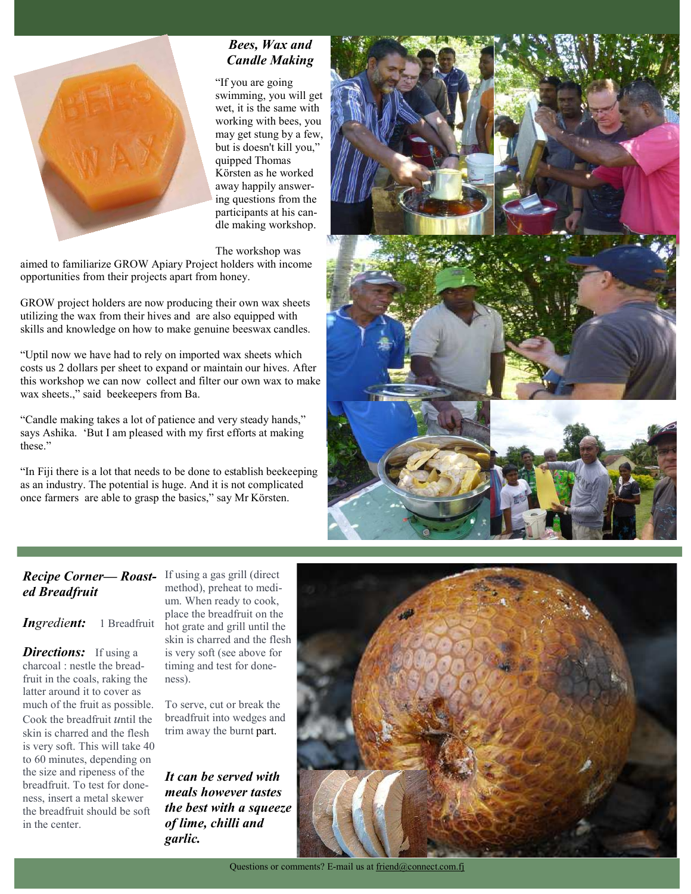

# *Bees, Wax and Candle Making*

"If you are going swimming, you will get wet, it is the same with working with bees, you may get stung by a few, but is doesn't kill you," quipped Thomas Körsten as he worked away happily answering questions from the participants at his candle making workshop.

The workshop was

aimed to familiarize GROW Apiary Project holders with income opportunities from their projects apart from honey.

GROW project holders are now producing their own wax sheets utilizing the wax from their hives and are also equipped with skills and knowledge on how to make genuine beeswax candles.

"Uptil now we have had to rely on imported wax sheets which costs us 2 dollars per sheet to expand or maintain our hives. After this workshop we can now collect and filter our own wax to make wax sheets.," said beekeepers from Ba.

"Candle making takes a lot of patience and very steady hands," says Ashika. 'But I am pleased with my first efforts at making these."

"In Fiji there is a lot that needs to be done to establish beekeeping as an industry. The potential is huge. And it is not complicated once farmers are able to grasp the basics," say Mr Körsten.



## *Recipe Corner— Roast-*If using a gas grill (direct *ed Breadfruit*

*Ingredient:* 1 Breadfruit

*Directions:* If using a charcoal : nestle the breadfruit in the coals, raking the latter around it to cover as much of the fruit as possible. Cook the breadfruit *u*ntil the skin is charred and the flesh is very soft. This will take 40 to 60 minutes, depending on the size and ripeness of the breadfruit. To test for doneness, insert a metal skewer the breadfruit should be soft in the center.

method), preheat to medium. When ready to cook, place the breadfruit on the hot grate and grill until the skin is charred and the flesh is very soft (see above for timing and test for doneness).

To serve, cut or break the breadfruit into wedges and trim away the burnt part.

*It can be served with meals however tastes the best with a squeeze of lime, chilli and garlic.*